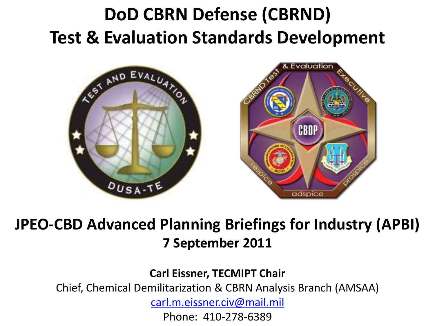## **DoD CBRN Defense (CBRND) Test & Evaluation Standards Development**



### **JPEO-CBD Advanced Planning Briefings for Industry (APBI) 7 September 2011**

**Carl Eissner, TECMIPT Chair**

Chief, Chemical Demilitarization & CBRN Analysis Branch (AMSAA)

[carl.m.eissner.civ@mail.mil](mailto:carl.m.eissner.civ@mail.mil)

Phone: 410-278-6389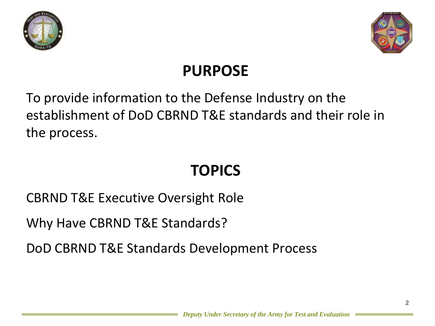



### **PURPOSE**

### To provide information to the Defense Industry on the establishment of DoD CBRND T&E standards and their role in the process.

### **TOPICS**

CBRND T&E Executive Oversight Role

Why Have CBRND T&E Standards?

DoD CBRND T&E Standards Development Process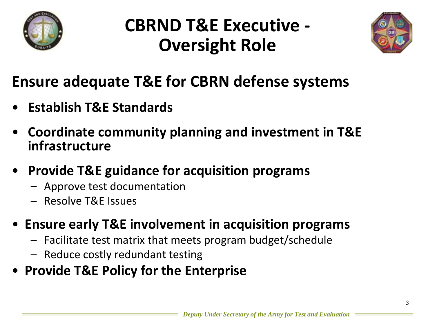

## **CBRND T&E Executive - Oversight Role**



### **Ensure adequate T&E for CBRN defense systems**

- **Establish T&E Standards**
- **Coordinate community planning and investment in T&E infrastructure**
- **Provide T&E guidance for acquisition programs** 
	- Approve test documentation
	- Resolve T&E Issues
- **Ensure early T&E involvement in acquisition programs**
	- Facilitate test matrix that meets program budget/schedule
	- Reduce costly redundant testing
- **Provide T&E Policy for the Enterprise**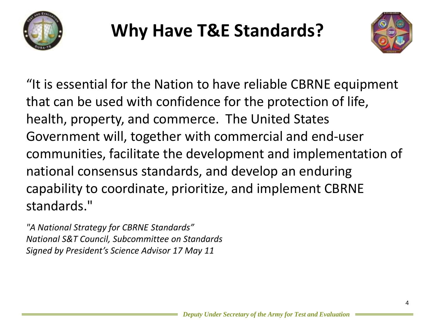

## **Why Have T&E Standards?**



"It is essential for the Nation to have reliable CBRNE equipment that can be used with confidence for the protection of life, health, property, and commerce. The United States Government will, together with commercial and end-user communities, facilitate the development and implementation of national consensus standards, and develop an enduring capability to coordinate, prioritize, and implement CBRNE standards."

*"A National Strategy for CBRNE Standards" National S&T Council, Subcommittee on Standards Signed by President's Science Advisor 17 May 11*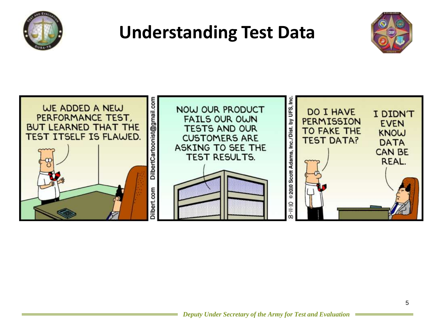

## **Understanding Test Data**



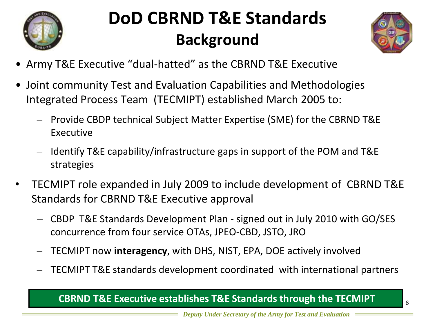

## **DoD CBRND T&E Standards Background**



- Army T&E Executive "dual-hatted" as the CBRND T&E Executive
- Joint community Test and Evaluation Capabilities and Methodologies Integrated Process Team (TECMIPT) established March 2005 to:
	- ‒ Provide CBDP technical Subject Matter Expertise (SME) for the CBRND T&E Executive
	- ‒ Identify T&E capability/infrastructure gaps in support of the POM and T&E strategies
- TECMIPT role expanded in July 2009 to include development of CBRND T&E Standards for CBRND T&E Executive approval
	- ‒ CBDP T&E Standards Development Plan signed out in July 2010 with GO/SES concurrence from four service OTAs, JPEO-CBD, JSTO, JRO
	- ‒ TECMIPT now **interagency**, with DHS, NIST, EPA, DOE actively involved
	- ‒ TECMIPT T&E standards development coordinated with international partners

#### **CBRND T&E Executive establishes T&E Standards through the TECMIPT** 6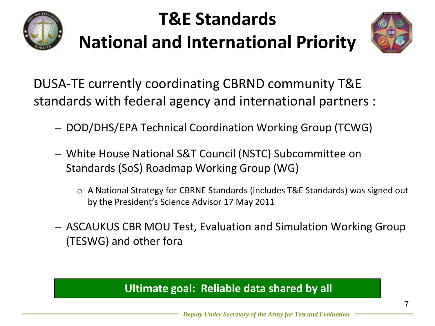

# **T&E Standards**

# **National and International Priority**



DUSA-TE currently coordinating CBRND community T&E standards with federal agency and international partners :

- ‒ DOD/DHS/EPA Technical Coordination Working Group (TCWG)
- ‒ White House National S&T Council (NSTC) Subcommittee on Standards (SoS) Roadmap Working Group (WG)
	- o A National Strategy for CBRNE Standards (includes T&E Standards) was signed out by the President's Science Advisor 17 May 2011
- ‒ ASCAUKUS CBR MOU Test, Evaluation and Simulation Working Group (TESWG) and other fora

#### **Ultimate goal: Reliable data shared by all**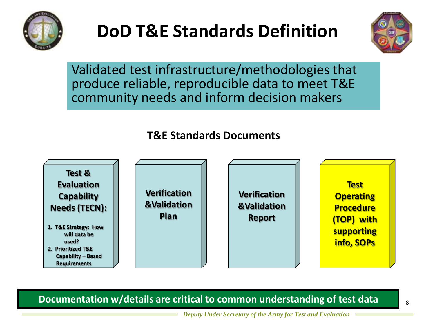

## **DoD T&E Standards Definition**



Validated test infrastructure/methodologies that produce reliable, reproducible data to meet T&E community needs and inform decision makers

#### **T&E Standards Documents**



**Documentation w/details are critical to common understanding of test data**

*Deputy Under Secretary of the Army for Test and Evaluation*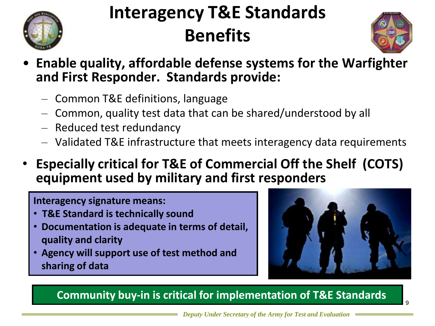

## **Interagency T&E Standards Benefits**



9

- **Enable quality, affordable defense systems for the Warfighter and First Responder. Standards provide:**
	- ‒ Common T&E definitions, language
	- ‒ Common, quality test data that can be shared/understood by all
	- ‒ Reduced test redundancy
	- ‒ Validated T&E infrastructure that meets interagency data requirements
- **Especially critical for T&E of Commercial Off the Shelf (COTS) equipment used by military and first responders**

**Interagency signature means:** 

- **T&E Standard is technically sound**
- **Documentation is adequate in terms of detail, quality and clarity**
- **Agency will support use of test method and sharing of data**



**Community buy-in is critical for implementation of T&E Standards**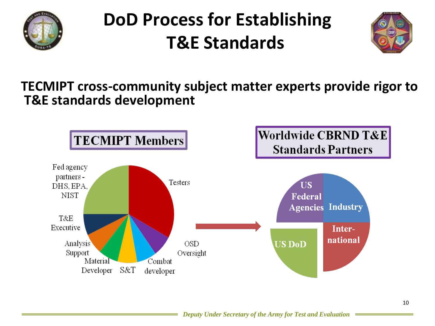

## **DoD Process for Establishing T&E Standards**



### **TECMIPT cross-community subject matter experts provide rigor to T&E standards development**

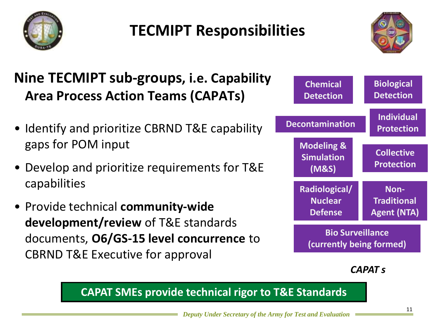

### **TECMIPT Responsibilities**



### **Nine TECMIPT sub-groups, i.e. Capability Area Process Action Teams (CAPATs)**

- Identify and prioritize CBRND T&E capability gaps for POM input
- Develop and prioritize requirements for T&E capabilities
- Provide technical **community-wide development/review** of T&E standards documents, **O6/GS-15 level concurrence** to CBRND T&E Executive for approval

| <b>Chemical</b><br><b>Detection</b>                 | <b>Biological</b><br><b>Detection</b>            |
|-----------------------------------------------------|--------------------------------------------------|
| <b>Decontamination</b>                              | <b>Individual</b><br><b>Protection</b>           |
| <b>Modeling &amp;</b><br><b>Simulation</b><br>(M&S) | <b>Collective</b><br><b>Protection</b>           |
| <b>Radiological/</b><br><b>Nuclear</b><br>Defense   | Non-<br><b>Traditional</b><br><b>Agent (NTA)</b> |
| <b>Bio Surveillance</b><br>(currently being formed) |                                                  |

*CAPAT s*

**CAPAT SMEs provide technical rigor to T&E Standards**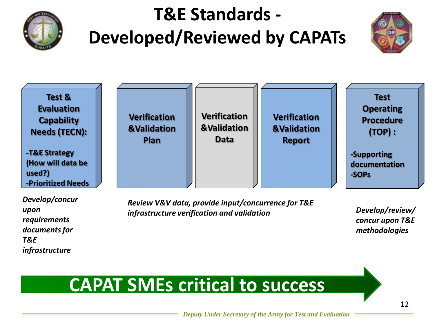

## **T&E Standards - Developed/Reviewed by CAPATs**





*Develop/concur upon requirements documents for T&E infrastructure*

*Review V&V data, provide input/concurrence for T&E infrastructure verification and validation Develop/review/*

*concur upon T&E methodologies*

### **CAPAT SMEs critical to success**

*Deputy Under Secretary of the Army for Test and Evaluation*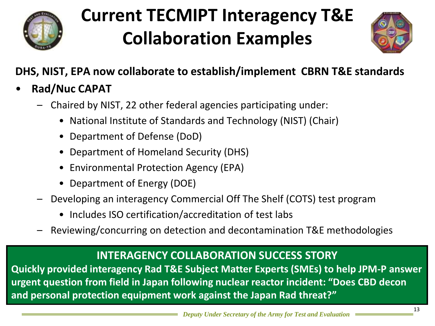

## **Current TECMIPT Interagency T&E Collaboration Examples**



### **DHS, NIST, EPA now collaborate to establish/implement CBRN T&E standards**

- **Rad/Nuc CAPAT**
	- Chaired by NIST, 22 other federal agencies participating under:
		- National Institute of Standards and Technology (NIST) (Chair)
		- Department of Defense (DoD)
		- Department of Homeland Security (DHS)
		- Environmental Protection Agency (EPA)
		- Department of Energy (DOE)
	- Developing an interagency Commercial Off The Shelf (COTS) test program
		- Includes ISO certification/accreditation of test labs
		- Reviewing/concurring on detection and decontamination T&E methodologies

#### **INTERAGENCY COLLABORATION SUCCESS STORY**

**Quickly provided interagency Rad T&E Subject Matter Experts (SMEs) to help JPM-P answer urgent question from field in Japan following nuclear reactor incident: "Does CBD decon and personal protection equipment work against the Japan Rad threat?"**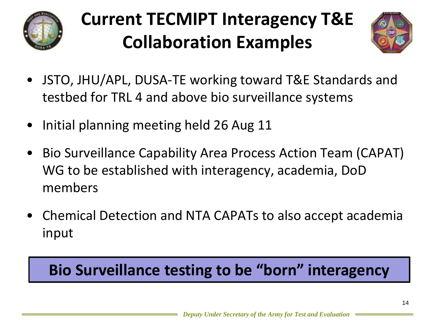

# **Current TECMIPT Interagency T&E Collaboration Examples**



- JSTO, JHU/APL, DUSA-TE working toward T&E Standards and testbed for TRL 4 and above bio surveillance systems
- Initial planning meeting held 26 Aug 11
- Bio Surveillance Capability Area Process Action Team (CAPAT) WG to be established with interagency, academia, DoD members
- Chemical Detection and NTA CAPATs to also accept academia input

### **Bio Surveillance testing to be "born" interagency**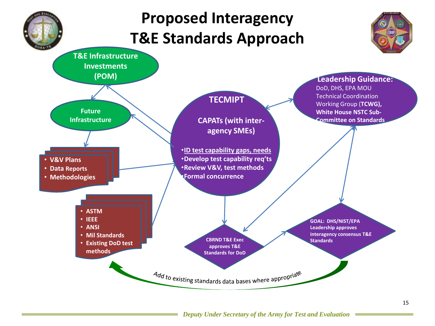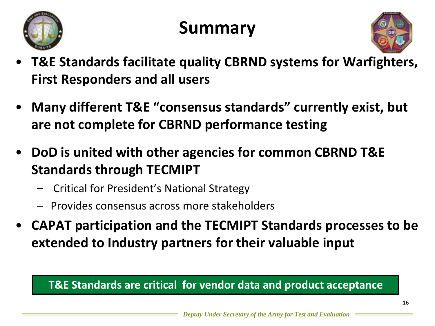

## **Summary**



- **T&E Standards facilitate quality CBRND systems for Warfighters, First Responders and all users**
- **Many different T&E "consensus standards" currently exist, but are not complete for CBRND performance testing**
- **DoD is united with other agencies for common CBRND T&E Standards through TECMIPT**
	- Critical for President's National Strategy
	- Provides consensus across more stakeholders
- **CAPAT participation and the TECMIPT Standards processes to be extended to Industry partners for their valuable input**

#### **T&E Standards are critical for vendor data and product acceptance**